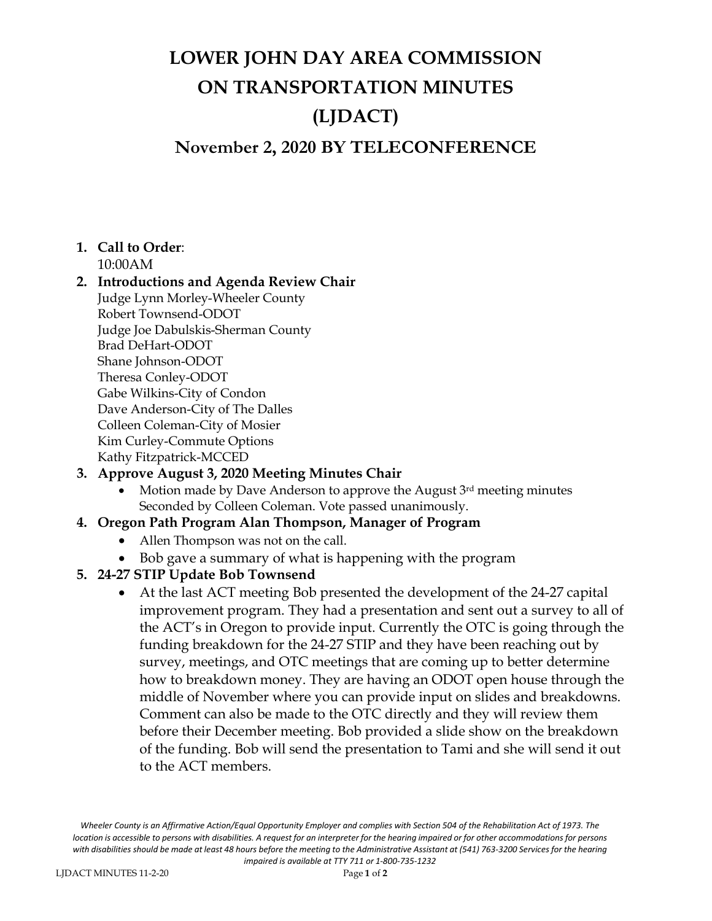## **LOWER JOHN DAY AREA COMMISSION ON TRANSPORTATION MINUTES (LJDACT) November 2, 2020 BY TELECONFERENCE**

## **1. Call to Order**:

10:00AM

#### **2. Introductions and Agenda Review Chair** Judge Lynn Morley-Wheeler County Robert Townsend-ODOT Judge Joe Dabulskis-Sherman County Brad DeHart-ODOT Shane Johnson-ODOT Theresa Conley-ODOT Gabe Wilkins-City of Condon Dave Anderson-City of The Dalles Colleen Coleman-City of Mosier Kim Curley-Commute Options Kathy Fitzpatrick-MCCED

## **3. Approve August 3, 2020 Meeting Minutes Chair**

• Motion made by Dave Anderson to approve the August 3rd meeting minutes Seconded by Colleen Coleman. Vote passed unanimously.

## **4. Oregon Path Program Alan Thompson, Manager of Program**

- Allen Thompson was not on the call.
- Bob gave a summary of what is happening with the program

## **5. 24-27 STIP Update Bob Townsend**

• At the last ACT meeting Bob presented the development of the 24-27 capital improvement program. They had a presentation and sent out a survey to all of the ACT's in Oregon to provide input. Currently the OTC is going through the funding breakdown for the 24-27 STIP and they have been reaching out by survey, meetings, and OTC meetings that are coming up to better determine how to breakdown money. They are having an ODOT open house through the middle of November where you can provide input on slides and breakdowns. Comment can also be made to the OTC directly and they will review them before their December meeting. Bob provided a slide show on the breakdown of the funding. Bob will send the presentation to Tami and she will send it out to the ACT members.

*Wheeler County is an Affirmative Action/Equal Opportunity Employer and complies with Section 504 of the Rehabilitation Act of 1973. The*  location is accessible to persons with disabilities. A request for an interpreter for the hearing impaired or for other accommodations for persons with disabilities should be made at least 48 hours before the meeting to the Administrative Assistant at (541) 763-3200 Services for the hearing *impaired is available at TTY 711 or 1-800-735-1232*